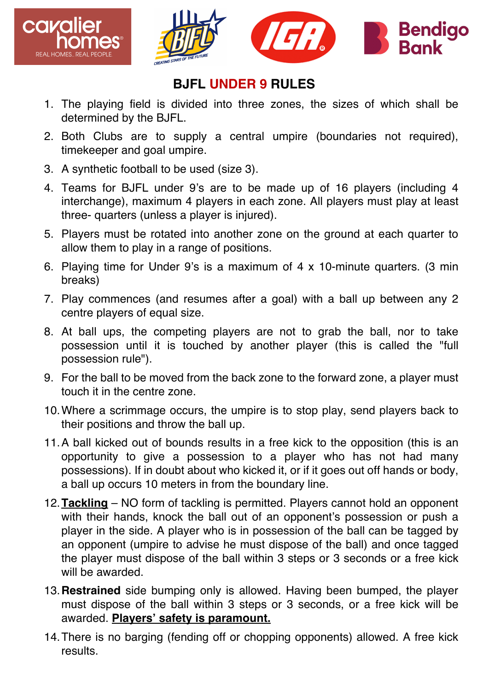



## **BJFL UNDER 9 RULES**

- 1. The playing field is divided into three zones, the sizes of which shall be determined by the BJFL.
- 2. Both Clubs are to supply a central umpire (boundaries not required), timekeeper and goal umpire.
- 3. A synthetic football to be used (size 3).
- 4. Teams for BJFL under 9's are to be made up of 16 players (including 4 interchange), maximum 4 players in each zone. All players must play at least three- quarters (unless a player is injured).
- 5. Players must be rotated into another zone on the ground at each quarter to allow them to play in a range of positions.
- 6. Playing time for Under 9's is a maximum of 4 x 10-minute quarters. (3 min breaks)
- 7. Play commences (and resumes after a goal) with a ball up between any 2 centre players of equal size.
- 8. At ball ups, the competing players are not to grab the ball, nor to take possession until it is touched by another player (this is called the "full possession rule").
- 9. For the ball to be moved from the back zone to the forward zone, a player must touch it in the centre zone.
- 10.Where a scrimmage occurs, the umpire is to stop play, send players back to their positions and throw the ball up.
- 11.A ball kicked out of bounds results in a free kick to the opposition (this is an opportunity to give a possession to a player who has not had many possessions). If in doubt about who kicked it, or if it goes out off hands or body, a ball up occurs 10 meters in from the boundary line.
- 12.**Tackling** NO form of tackling is permitted. Players cannot hold an opponent with their hands, knock the ball out of an opponent's possession or push a player in the side. A player who is in possession of the ball can be tagged by an opponent (umpire to advise he must dispose of the ball) and once tagged the player must dispose of the ball within 3 steps or 3 seconds or a free kick will be awarded.
- 13.**Restrained** side bumping only is allowed. Having been bumped, the player must dispose of the ball within 3 steps or 3 seconds, or a free kick will be awarded. **Players' safety is paramount.**
- 14.There is no barging (fending off or chopping opponents) allowed. A free kick results.